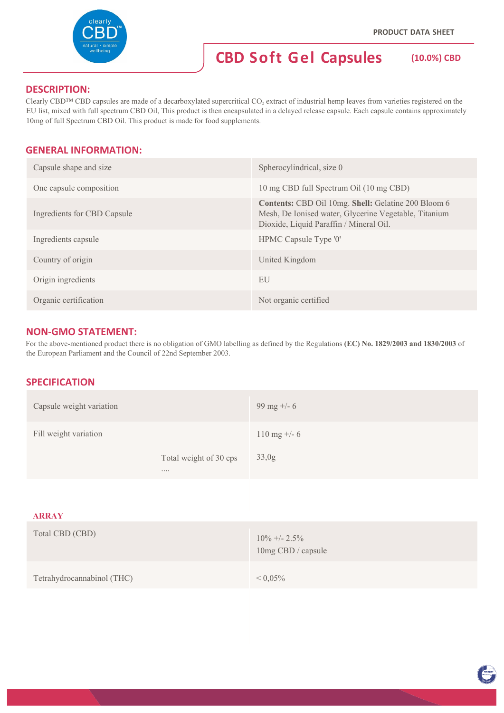

## **DESCRIPTION:**

Clearly CBD™ CBD capsules are made of a decarboxylated supercritical CO<sub>2</sub> extract of industrial hemp leaves from varieties registered on the EU list, mixed with full spectrum CBD Oil, This product is then encapsulated in a delayed release capsule. Each capsule contains approximately 10mg of full Spectrum CBD Oil. This product is made for food supplements.

# **GENERAL INFORMATION:**

| Capsule shape and size      | Spherocylindrical, size 0                                                                                                                               |
|-----------------------------|---------------------------------------------------------------------------------------------------------------------------------------------------------|
| One capsule composition     | 10 mg CBD full Spectrum Oil (10 mg CBD)                                                                                                                 |
| Ingredients for CBD Capsule | Contents: CBD Oil 10mg. Shell: Gelatine 200 Bloom 6<br>Mesh, De Ionised water, Glycerine Vegetable, Titanium<br>Dioxide, Liquid Paraffin / Mineral Oil. |
| Ingredients capsule         | HPMC Capsule Type '0'                                                                                                                                   |
| Country of origin           | United Kingdom                                                                                                                                          |
| Origin ingredients          | EU                                                                                                                                                      |
| Organic certification       | Not organic certified                                                                                                                                   |

# **NON‐GMO STATEMENT:**

For the above-mentioned product there is no obligation of GMO labelling as defined by the Regulations **(EC) No. 1829/2003 and 1830/2003** of the European Parliament and the Council of 22nd September 2003.

### **SPECIFICATION**

| Capsule weight variation |                                    | 99 mg $+/- 6$        |
|--------------------------|------------------------------------|----------------------|
| Fill weight variation    |                                    | $110 \text{ mg} + 6$ |
|                          | Total weight of 30 cps<br>$\cdots$ | 33,0g                |
|                          |                                    |                      |

#### **ARRAY**

| Total CBD (CBD)            | $10\% +12.5\%$<br>10mg CBD / capsule |
|----------------------------|--------------------------------------|
| Tetrahydrocannabinol (THC) | $< 0.05\%$                           |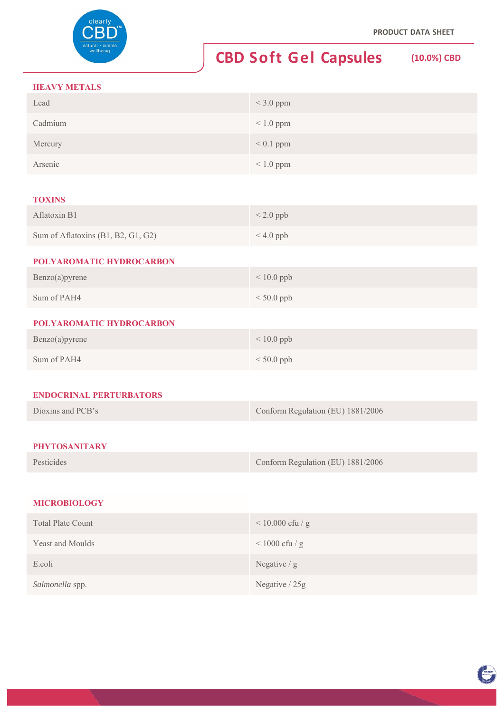

# **CBD Soft Gel Capsules (10.0%) CBD**

#### **HEAVY METALS**

| <b>HEAVY METALS</b>                |                                   |
|------------------------------------|-----------------------------------|
| Lead                               | $<$ 3.0 ppm                       |
| Cadmium                            | $< 1.0$ ppm                       |
| Mercury                            | $< 0.1$ ppm                       |
| Arsenic                            | $< 1.0$ ppm                       |
|                                    |                                   |
| <b>TOXINS</b>                      |                                   |
| Aflatoxin B1                       | $< 2.0$ ppb                       |
| Sum of Aflatoxins (B1, B2, G1, G2) | $< 4.0$ ppb                       |
| POLYAROMATIC HYDROCARBON           |                                   |
| Benzo(a)pyrene                     | $< 10.0$ ppb                      |
| Sum of PAH4                        | $< 50.0$ ppb                      |
| POLYAROMATIC HYDROCARBON           |                                   |
| Benzo(a)pyrene                     | $< 10.0$ ppb                      |
| Sum of PAH4                        | $< 50.0$ ppb                      |
|                                    |                                   |
| <b>ENDOCRINAL PERTURBATORS</b>     |                                   |
| Dioxins and PCB's                  | Conform Regulation (EU) 1881/2006 |
|                                    |                                   |
| <b>PHYTOSANITARY</b>               |                                   |
| Pesticides                         | Conform Regulation (EU) 1881/2006 |
|                                    |                                   |
| <b>MICROBIOLOGY</b>                |                                   |
|                                    |                                   |

| <b>Total Plate Count</b> | $< 10.000$ cfu / g |
|--------------------------|--------------------|
| Yeast and Moulds         | $<$ 1000 cfu / g   |
| E.coli                   | Negative $/g$      |
| Salmonella spp.          | Negative / 25g     |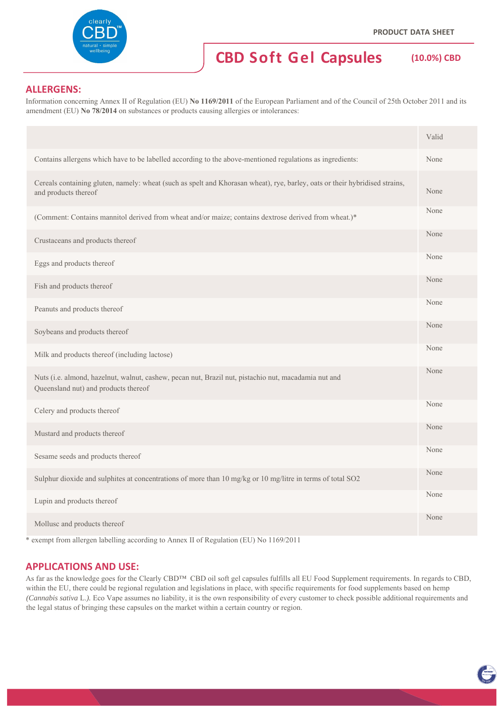# **CBD Soft Gel Capsules (10.0%) CBD**

# **ALLERGENS:**

Information concerning Annex II of Regulation (EU) **No 1169/2011** of the European Parliament and of the Council of 25th October 2011 and its amendment (EU) **No 78/2014** on substances or products causing allergies or intolerances:

|                                                                                                                                                     | Valid |
|-----------------------------------------------------------------------------------------------------------------------------------------------------|-------|
| Contains allergens which have to be labelled according to the above-mentioned regulations as ingredients:                                           | None  |
| Cereals containing gluten, namely: wheat (such as spelt and Khorasan wheat), rye, barley, oats or their hybridised strains,<br>and products thereof | None  |
| (Comment: Contains mannitol derived from wheat and/or maize; contains dextrose derived from wheat.)*                                                | None  |
| Crustaceans and products thereof                                                                                                                    | None  |
| Eggs and products thereof                                                                                                                           | None  |
| Fish and products thereof                                                                                                                           | None  |
| Peanuts and products thereof                                                                                                                        | None  |
| Soybeans and products thereof                                                                                                                       | None  |
| Milk and products thereof (including lactose)                                                                                                       | None  |
| Nuts (i.e. almond, hazelnut, walnut, cashew, pecan nut, Brazil nut, pistachio nut, macadamia nut and<br>Queensland nut) and products thereof        | None  |
| Celery and products thereof                                                                                                                         | None  |
| Mustard and products thereof                                                                                                                        | None  |
| Sesame seeds and products thereof                                                                                                                   | None  |
| Sulphur dioxide and sulphites at concentrations of more than 10 mg/kg or 10 mg/litre in terms of total SO2                                          | None  |
| Lupin and products thereof                                                                                                                          | None  |
| Mollusc and products thereof                                                                                                                        | None  |

\* exempt from allergen labelling according to Annex II of Regulation (EU) No 1169/2011

### **APPLICATIONS AND USE:**

As far as the knowledge goes for the Clearly CBD™ CBD oil soft gel capsules fulfills all EU Food Supplement requirements. In regards to CBD, within the EU, there could be regional regulation and legislations in place, with specific requirements for food supplements based on hemp *(Cannabis sativa* L.*).* Eco Vape assumes no liability, it is the own responsibility of every customer to check possible additional requirements and the legal status of bringing these capsules on the market within a certain country or region.